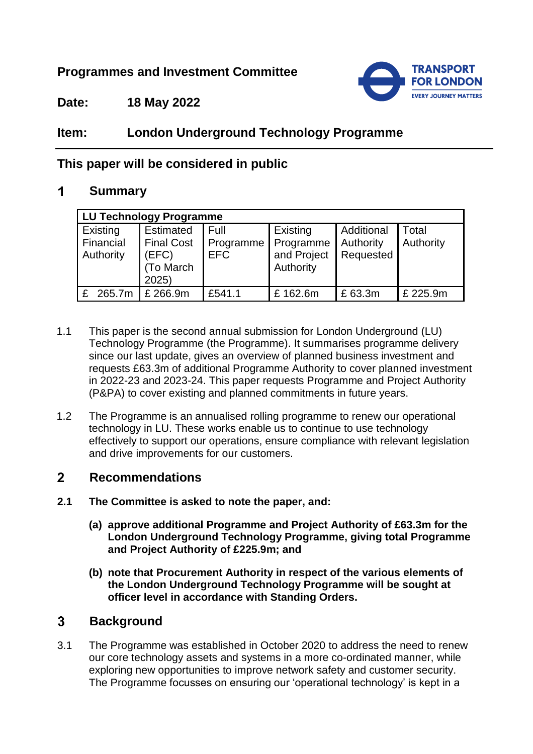# **Programmes and Investment Committee**



**Date: 18 May 2022**

# **Item: London Underground Technology Programme**

# **This paper will be considered in public**

### $\blacksquare$ **Summary**

| LU Technology Programme                   |                                                                    |                                 |                                                   |                                      |                    |
|-------------------------------------------|--------------------------------------------------------------------|---------------------------------|---------------------------------------------------|--------------------------------------|--------------------|
| Existing<br>Financial<br><b>Authority</b> | <b>Estimated</b><br><b>Final Cost</b><br>(EFC)<br>To March<br>2025 | Full<br>Programme<br><b>EFC</b> | Existing<br>Programme<br>and Project<br>Authority | Additional<br>Authority<br>Requested | Total<br>Authority |
| 265.7m                                    | £ 266.9m                                                           | £541.1                          | £162.6m                                           | £63.3m                               | £ 225.9m           |

- 1.1 This paper is the second annual submission for London Underground (LU) Technology Programme (the Programme). It summarises programme delivery since our last update, gives an overview of planned business investment and requests £63.3m of additional Programme Authority to cover planned investment in 2022-23 and 2023-24. This paper requests Programme and Project Authority (P&PA) to cover existing and planned commitments in future years.
- 1.2 The Programme is an annualised rolling programme to renew our operational technology in LU. These works enable us to continue to use technology effectively to support our operations, ensure compliance with relevant legislation and drive improvements for our customers.

### $2<sup>1</sup>$ **Recommendations**

- **2.1 The Committee is asked to note the paper, and:**
	- **(a) approve additional Programme and Project Authority of £63.3m for the London Underground Technology Programme, giving total Programme and Project Authority of £225.9m; and**
	- **(b) note that Procurement Authority in respect of the various elements of the London Underground Technology Programme will be sought at officer level in accordance with Standing Orders.**

### $3<sup>1</sup>$ **Background**

3.1 The Programme was established in October 2020 to address the need to renew our core technology assets and systems in a more co-ordinated manner, while exploring new opportunities to improve network safety and customer security. The Programme focusses on ensuring our 'operational technology' is kept in a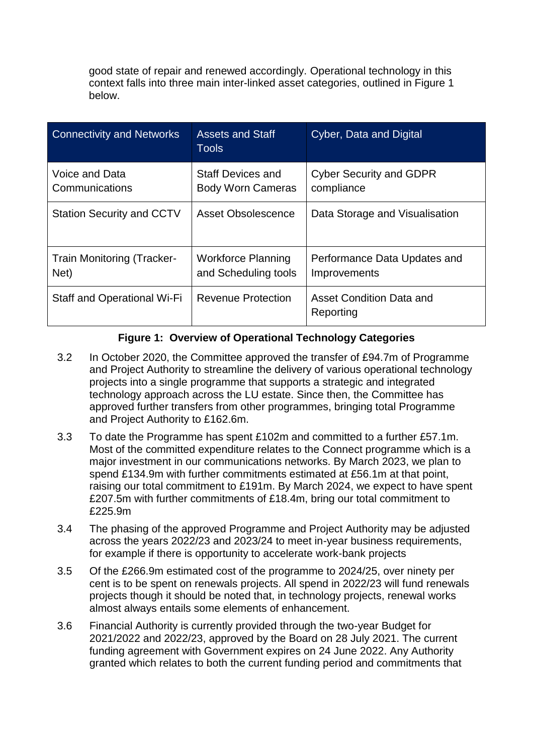good state of repair and renewed accordingly. Operational technology in this context falls into three main inter-linked asset categories, outlined in Figure 1 below.

| <b>Connectivity and Networks</b>          | <b>Assets and Staff</b><br><b>Tools</b>              | Cyber, Data and Digital                      |
|-------------------------------------------|------------------------------------------------------|----------------------------------------------|
| Voice and Data<br>Communications          | <b>Staff Devices and</b><br><b>Body Worn Cameras</b> | <b>Cyber Security and GDPR</b><br>compliance |
| <b>Station Security and CCTV</b>          | Asset Obsolescence                                   | Data Storage and Visualisation               |
| <b>Train Monitoring (Tracker-</b><br>Net) | <b>Workforce Planning</b><br>and Scheduling tools    | Performance Data Updates and<br>Improvements |
| Staff and Operational Wi-Fi               | <b>Revenue Protection</b>                            | Asset Condition Data and<br>Reporting        |

## **Figure 1: Overview of Operational Technology Categories**

- 3.2 In October 2020, the Committee approved the transfer of £94.7m of Programme and Project Authority to streamline the delivery of various operational technology projects into a single programme that supports a strategic and integrated technology approach across the LU estate. Since then, the Committee has approved further transfers from other programmes, bringing total Programme and Project Authority to £162.6m.
- 3.3 To date the Programme has spent £102m and committed to a further £57.1m. Most of the committed expenditure relates to the Connect programme which is a major investment in our communications networks. By March 2023, we plan to spend £134.9m with further commitments estimated at £56.1m at that point, raising our total commitment to £191m. By March 2024, we expect to have spent £207.5m with further commitments of £18.4m, bring our total commitment to £225.9m
- 3.4 The phasing of the approved Programme and Project Authority may be adjusted across the years 2022/23 and 2023/24 to meet in-year business requirements, for example if there is opportunity to accelerate work-bank projects
- 3.5 Of the £266.9m estimated cost of the programme to 2024/25, over ninety per cent is to be spent on renewals projects. All spend in 2022/23 will fund renewals projects though it should be noted that, in technology projects, renewal works almost always entails some elements of enhancement.
- 3.6 Financial Authority is currently provided through the two-year Budget for 2021/2022 and 2022/23, approved by the Board on 28 July 2021. The current funding agreement with Government expires on 24 June 2022. Any Authority granted which relates to both the current funding period and commitments that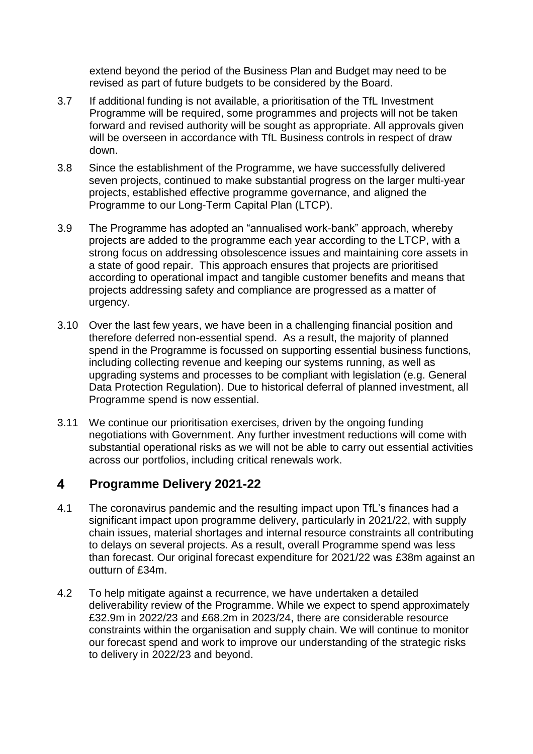extend beyond the period of the Business Plan and Budget may need to be revised as part of future budgets to be considered by the Board.

- 3.7 If additional funding is not available, a prioritisation of the TfL Investment Programme will be required, some programmes and projects will not be taken forward and revised authority will be sought as appropriate. All approvals given will be overseen in accordance with TfL Business controls in respect of draw down.
- 3.8 Since the establishment of the Programme, we have successfully delivered seven projects, continued to make substantial progress on the larger multi-year projects, established effective programme governance, and aligned the Programme to our Long-Term Capital Plan (LTCP).
- 3.9 The Programme has adopted an "annualised work-bank" approach, whereby projects are added to the programme each year according to the LTCP, with a strong focus on addressing obsolescence issues and maintaining core assets in a state of good repair. This approach ensures that projects are prioritised according to operational impact and tangible customer benefits and means that projects addressing safety and compliance are progressed as a matter of urgency.
- 3.10 Over the last few years, we have been in a challenging financial position and therefore deferred non-essential spend. As a result, the majority of planned spend in the Programme is focussed on supporting essential business functions, including collecting revenue and keeping our systems running, as well as upgrading systems and processes to be compliant with legislation (e.g. General Data Protection Regulation). Due to historical deferral of planned investment, all Programme spend is now essential.
- 3.11 We continue our prioritisation exercises, driven by the ongoing funding negotiations with Government. Any further investment reductions will come with substantial operational risks as we will not be able to carry out essential activities across our portfolios, including critical renewals work.

### $\overline{\mathbf{4}}$ **Programme Delivery 2021-22**

- 4.1 The coronavirus pandemic and the resulting impact upon TfL's finances had a significant impact upon programme delivery, particularly in 2021/22, with supply chain issues, material shortages and internal resource constraints all contributing to delays on several projects. As a result, overall Programme spend was less than forecast. Our original forecast expenditure for 2021/22 was £38m against an outturn of £34m.
- 4.2 To help mitigate against a recurrence, we have undertaken a detailed deliverability review of the Programme. While we expect to spend approximately £32.9m in 2022/23 and £68.2m in 2023/24, there are considerable resource constraints within the organisation and supply chain. We will continue to monitor our forecast spend and work to improve our understanding of the strategic risks to delivery in 2022/23 and beyond.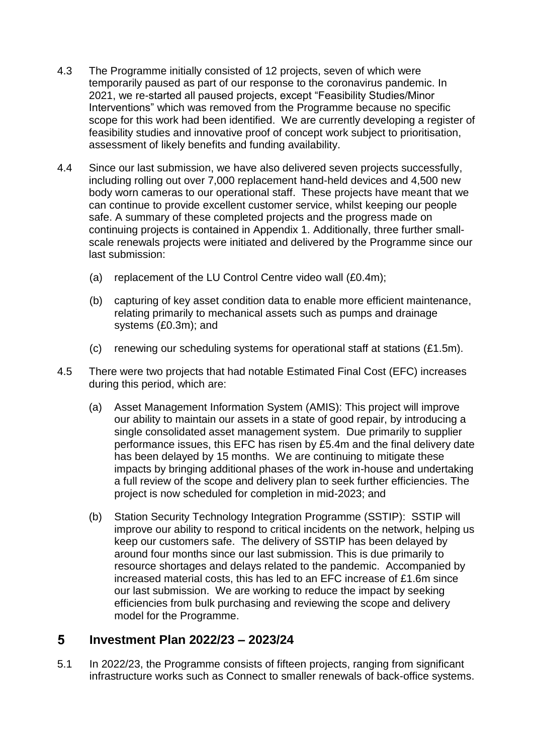- 4.3 The Programme initially consisted of 12 projects, seven of which were temporarily paused as part of our response to the coronavirus pandemic. In 2021, we re-started all paused projects, except "Feasibility Studies/Minor Interventions" which was removed from the Programme because no specific scope for this work had been identified. We are currently developing a register of feasibility studies and innovative proof of concept work subject to prioritisation, assessment of likely benefits and funding availability.
- 4.4 Since our last submission, we have also delivered seven projects successfully, including rolling out over 7,000 replacement hand-held devices and 4,500 new body worn cameras to our operational staff. These projects have meant that we can continue to provide excellent customer service, whilst keeping our people safe. A summary of these completed projects and the progress made on continuing projects is contained in Appendix 1. Additionally, three further smallscale renewals projects were initiated and delivered by the Programme since our last submission:
	- (a) replacement of the LU Control Centre video wall (£0.4m);
	- (b) capturing of key asset condition data to enable more efficient maintenance, relating primarily to mechanical assets such as pumps and drainage systems (£0.3m); and
	- (c) renewing our scheduling systems for operational staff at stations (£1.5m).
- 4.5 There were two projects that had notable Estimated Final Cost (EFC) increases during this period, which are:
	- (a) Asset Management Information System (AMIS): This project will improve our ability to maintain our assets in a state of good repair, by introducing a single consolidated asset management system. Due primarily to supplier performance issues, this EFC has risen by £5.4m and the final delivery date has been delayed by 15 months. We are continuing to mitigate these impacts by bringing additional phases of the work in-house and undertaking a full review of the scope and delivery plan to seek further efficiencies. The project is now scheduled for completion in mid-2023; and
	- (b) Station Security Technology Integration Programme (SSTIP): SSTIP will improve our ability to respond to critical incidents on the network, helping us keep our customers safe. The delivery of SSTIP has been delayed by around four months since our last submission. This is due primarily to resource shortages and delays related to the pandemic. Accompanied by increased material costs, this has led to an EFC increase of £1.6m since our last submission. We are working to reduce the impact by seeking efficiencies from bulk purchasing and reviewing the scope and delivery model for the Programme.

### $5<sup>1</sup>$ **Investment Plan 2022/23 – 2023/24**

5.1 In 2022/23, the Programme consists of fifteen projects, ranging from significant infrastructure works such as Connect to smaller renewals of back-office systems.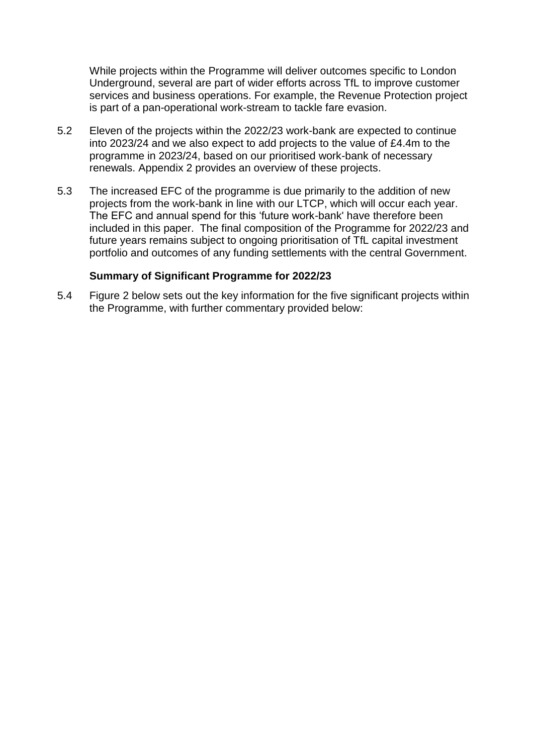While projects within the Programme will deliver outcomes specific to London Underground, several are part of wider efforts across TfL to improve customer services and business operations. For example, the Revenue Protection project is part of a pan-operational work-stream to tackle fare evasion.

- 5.2 Eleven of the projects within the 2022/23 work-bank are expected to continue into 2023/24 and we also expect to add projects to the value of £4.4m to the programme in 2023/24, based on our prioritised work-bank of necessary renewals. Appendix 2 provides an overview of these projects.
- 5.3 The increased EFC of the programme is due primarily to the addition of new projects from the work-bank in line with our LTCP, which will occur each year. The EFC and annual spend for this 'future work-bank' have therefore been included in this paper. The final composition of the Programme for 2022/23 and future years remains subject to ongoing prioritisation of TfL capital investment portfolio and outcomes of any funding settlements with the central Government.

### **Summary of Significant Programme for 2022/23**

5.4 Figure 2 below sets out the key information for the five significant projects within the Programme, with further commentary provided below: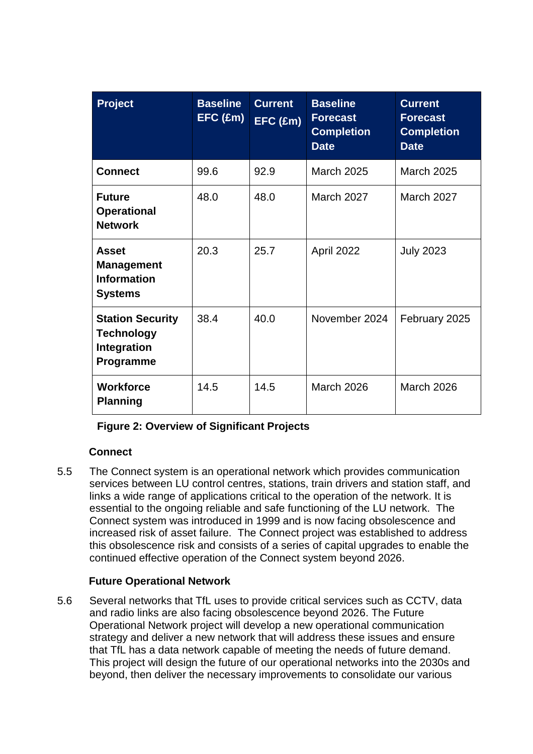| <b>Project</b>                                                            | <b>Baseline</b><br>EFC (Em) | <b>Current</b><br>$EFC$ (£m) | <b>Baseline</b><br><b>Forecast</b><br><b>Completion</b><br><b>Date</b> | <b>Current</b><br><b>Forecast</b><br><b>Completion</b><br><b>Date</b> |
|---------------------------------------------------------------------------|-----------------------------|------------------------------|------------------------------------------------------------------------|-----------------------------------------------------------------------|
| <b>Connect</b>                                                            | 99.6                        | 92.9                         | <b>March 2025</b>                                                      | <b>March 2025</b>                                                     |
| <b>Future</b><br><b>Operational</b><br><b>Network</b>                     | 48.0                        | 48.0                         | March 2027                                                             | <b>March 2027</b>                                                     |
| <b>Asset</b><br><b>Management</b><br><b>Information</b><br><b>Systems</b> | 20.3                        | 25.7                         | April 2022                                                             | <b>July 2023</b>                                                      |
| <b>Station Security</b><br><b>Technology</b><br>Integration<br>Programme  | 38.4                        | 40.0                         | November 2024                                                          | February 2025                                                         |
| <b>Workforce</b><br><b>Planning</b>                                       | 14.5                        | 14.5                         | March 2026                                                             | <b>March 2026</b>                                                     |

| <b>Figure 2: Overview of Significant Projects</b> |  |
|---------------------------------------------------|--|
|---------------------------------------------------|--|

## **Connect**

5.5 The Connect system is an operational network which provides communication services between LU control centres, stations, train drivers and station staff, and links a wide range of applications critical to the operation of the network. It is essential to the ongoing reliable and safe functioning of the LU network. The Connect system was introduced in 1999 and is now facing obsolescence and increased risk of asset failure. The Connect project was established to address this obsolescence risk and consists of a series of capital upgrades to enable the continued effective operation of the Connect system beyond 2026.

## **Future Operational Network**

5.6 Several networks that TfL uses to provide critical services such as CCTV, data and radio links are also facing obsolescence beyond 2026. The Future Operational Network project will develop a new operational communication strategy and deliver a new network that will address these issues and ensure that TfL has a data network capable of meeting the needs of future demand. This project will design the future of our operational networks into the 2030s and beyond, then deliver the necessary improvements to consolidate our various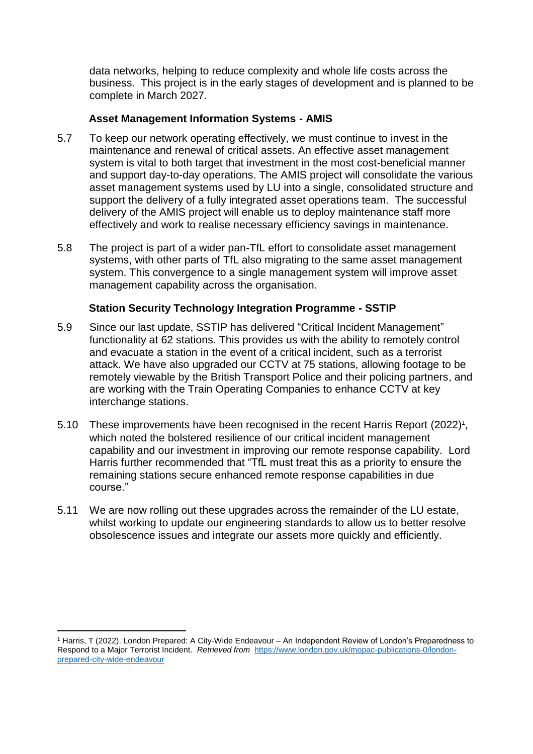data networks, helping to reduce complexity and whole life costs across the business. This project is in the early stages of development and is planned to be complete in March 2027.

## **Asset Management Information Systems - AMIS**

- 5.7 To keep our network operating effectively, we must continue to invest in the maintenance and renewal of critical assets. An effective asset management system is vital to both target that investment in the most cost-beneficial manner and support day-to-day operations. The AMIS project will consolidate the various asset management systems used by LU into a single, consolidated structure and support the delivery of a fully integrated asset operations team. The successful delivery of the AMIS project will enable us to deploy maintenance staff more effectively and work to realise necessary efficiency savings in maintenance.
- 5.8 The project is part of a wider pan-TfL effort to consolidate asset management systems, with other parts of TfL also migrating to the same asset management system. This convergence to a single management system will improve asset management capability across the organisation.

## **Station Security Technology Integration Programme - SSTIP**

- 5.9 Since our last update, SSTIP has delivered "Critical Incident Management" functionality at 62 stations. This provides us with the ability to remotely control and evacuate a station in the event of a critical incident, such as a terrorist attack. We have also upgraded our CCTV at 75 stations, allowing footage to be remotely viewable by the British Transport Police and their policing partners, and are working with the Train Operating Companies to enhance CCTV at key interchange stations.
- 5.10 These improvements have been recognised in the recent Harris Report (2022)<sup>1</sup>, which noted the bolstered resilience of our critical incident management capability and our investment in improving our remote response capability. Lord Harris further recommended that "TfL must treat this as a priority to ensure the remaining stations secure enhanced remote response capabilities in due course."
- 5.11 We are now rolling out these upgrades across the remainder of the LU estate, whilst working to update our engineering standards to allow us to better resolve obsolescence issues and integrate our assets more quickly and efficiently.

 $\overline{a}$ 

<sup>1</sup> Harris, T (2022). London Prepared: A City-Wide Endeavour – An Independent Review of London's Preparedness to Respond to a Major Terrorist Incident. *Retrieved from* [https://www.london.gov.uk/mopac-publications-0/london](https://www.london.gov.uk/mopac-publications-0/london-prepared-city-wide-endeavour)[prepared-city-wide-endeavour](https://www.london.gov.uk/mopac-publications-0/london-prepared-city-wide-endeavour)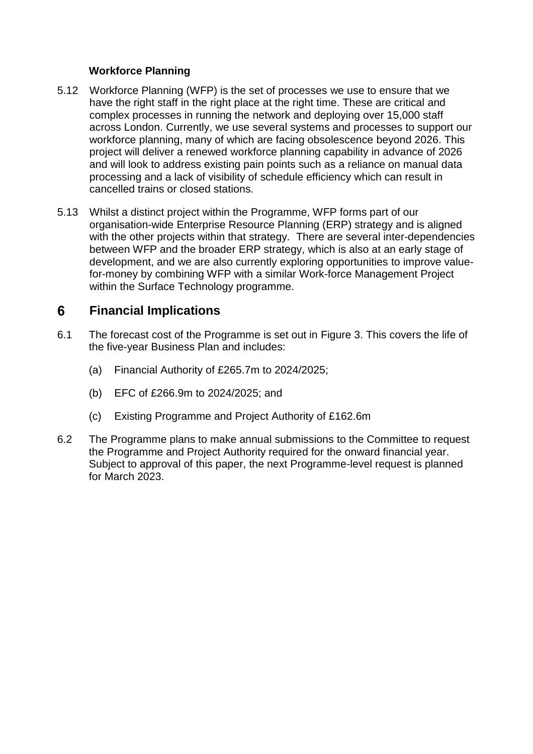## **Workforce Planning**

- 5.12 Workforce Planning (WFP) is the set of processes we use to ensure that we have the right staff in the right place at the right time. These are critical and complex processes in running the network and deploying over 15,000 staff across London. Currently, we use several systems and processes to support our workforce planning, many of which are facing obsolescence beyond 2026. This project will deliver a renewed workforce planning capability in advance of 2026 and will look to address existing pain points such as a reliance on manual data processing and a lack of visibility of schedule efficiency which can result in cancelled trains or closed stations.
- 5.13 Whilst a distinct project within the Programme, WFP forms part of our organisation-wide Enterprise Resource Planning (ERP) strategy and is aligned with the other projects within that strategy. There are several inter-dependencies between WFP and the broader ERP strategy, which is also at an early stage of development, and we are also currently exploring opportunities to improve valuefor-money by combining WFP with a similar Work-force Management Project within the Surface Technology programme.

### 6 **Financial Implications**

- 6.1 The forecast cost of the Programme is set out in Figure 3. This covers the life of the five-year Business Plan and includes:
	- (a) Financial Authority of £265.7m to 2024/2025;
	- (b) EFC of £266.9m to 2024/2025; and
	- (c) Existing Programme and Project Authority of £162.6m
- 6.2 The Programme plans to make annual submissions to the Committee to request the Programme and Project Authority required for the onward financial year. Subject to approval of this paper, the next Programme-level request is planned for March 2023.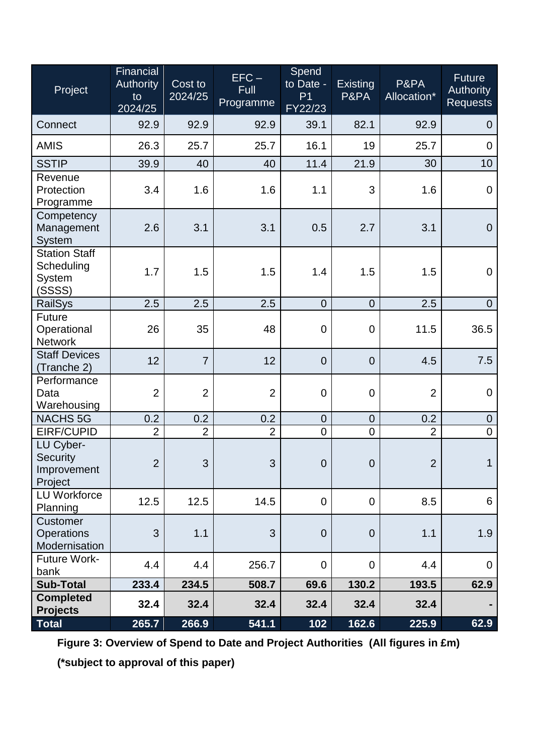| Project                                                       | Financial<br><b>Authority</b><br>to<br>2024/25 | Cost to<br>2024/25 | $EFC -$<br>Full<br>Programme | Spend<br>to Date -<br>P <sub>1</sub><br>FY22/23 | Existing<br>P&PA | P&PA<br>Allocation* | <b>Future</b><br><b>Authority</b><br><b>Requests</b> |
|---------------------------------------------------------------|------------------------------------------------|--------------------|------------------------------|-------------------------------------------------|------------------|---------------------|------------------------------------------------------|
| Connect                                                       | 92.9                                           | 92.9               | 92.9                         | 39.1                                            | 82.1             | 92.9                | $\overline{0}$                                       |
| <b>AMIS</b>                                                   | 26.3                                           | 25.7               | 25.7                         | 16.1                                            | 19               | 25.7                | $\mathbf 0$                                          |
| <b>SSTIP</b>                                                  | 39.9                                           | 40                 | 40                           | 11.4                                            | 21.9             | 30                  | 10                                                   |
| Revenue<br>Protection<br>Programme                            | 3.4                                            | 1.6                | 1.6                          | 1.1                                             | 3                | 1.6                 | $\mathbf 0$                                          |
| Competency<br>Management<br><b>System</b>                     | 2.6                                            | 3.1                | 3.1                          | 0.5                                             | 2.7              | 3.1                 | $\overline{0}$                                       |
| <b>Station Staff</b><br>Scheduling<br><b>System</b><br>(SSSS) | 1.7                                            | 1.5                | 1.5                          | 1.4                                             | 1.5              | 1.5                 | $\mathbf 0$                                          |
| <b>RailSys</b>                                                | 2.5                                            | 2.5                | 2.5                          | $\overline{0}$                                  | $\overline{0}$   | 2.5                 | $\overline{0}$                                       |
| <b>Future</b><br>Operational<br><b>Network</b>                | 26                                             | 35                 | 48                           | $\mathbf 0$                                     | $\overline{0}$   | 11.5                | 36.5                                                 |
| <b>Staff Devices</b><br>(Tranche 2)                           | 12                                             | $\overline{7}$     | 12                           | $\overline{0}$                                  | $\overline{0}$   | 4.5                 | 7.5                                                  |
| Performance<br>Data<br>Warehousing                            | $\overline{2}$                                 | $\overline{2}$     | $\overline{2}$               | $\mathbf 0$                                     | $\mathbf 0$      | $\overline{2}$      | $\mathbf 0$                                          |
| <b>NACHS 5G</b>                                               | 0.2                                            | 0.2                | 0.2                          | $\mathbf 0$                                     | $\mathbf 0$      | 0.2                 | $\pmb{0}$                                            |
| EIRF/CUPID                                                    | $\overline{2}$                                 | $\overline{2}$     | $\overline{2}$               | $\mathbf 0$                                     | $\overline{0}$   | $\overline{2}$      | $\mathbf 0$                                          |
| LU Cyber-<br>Security<br>Improvement<br>Project               | $\overline{2}$                                 | 3                  | 3                            | $\overline{0}$                                  | $\Omega$         | $\overline{2}$      | $\mathbf 1$                                          |
| <b>LU Workforce</b><br>Planning                               | 12.5                                           | 12.5               | 14.5                         | $\Omega$                                        | $\overline{0}$   | 8.5                 | 6                                                    |
| Customer<br><b>Operations</b><br>Modernisation                | 3                                              | 1.1                | 3                            | $\overline{0}$                                  | $\mathbf 0$      | 1.1                 | 1.9                                                  |
| <b>Future Work-</b><br>bank                                   | 4.4                                            | 4.4                | 256.7                        | $\mathbf 0$                                     | 0                | 4.4                 | $\mathbf 0$                                          |
| <b>Sub-Total</b>                                              | 233.4                                          | 234.5              | 508.7                        | 69.6                                            | 130.2            | 193.5               | 62.9                                                 |
| <b>Completed</b><br><b>Projects</b>                           | 32.4                                           | 32.4               | 32.4                         | 32.4                                            | 32.4             | 32.4                |                                                      |
| Total                                                         | 265.7                                          | 266.9              | 541.1                        | 102                                             | 162.6            | 225.9               | 62.9                                                 |

**Figure 3: Overview of Spend to Date and Project Authorities (All figures in £m)**

**(\*subject to approval of this paper)**